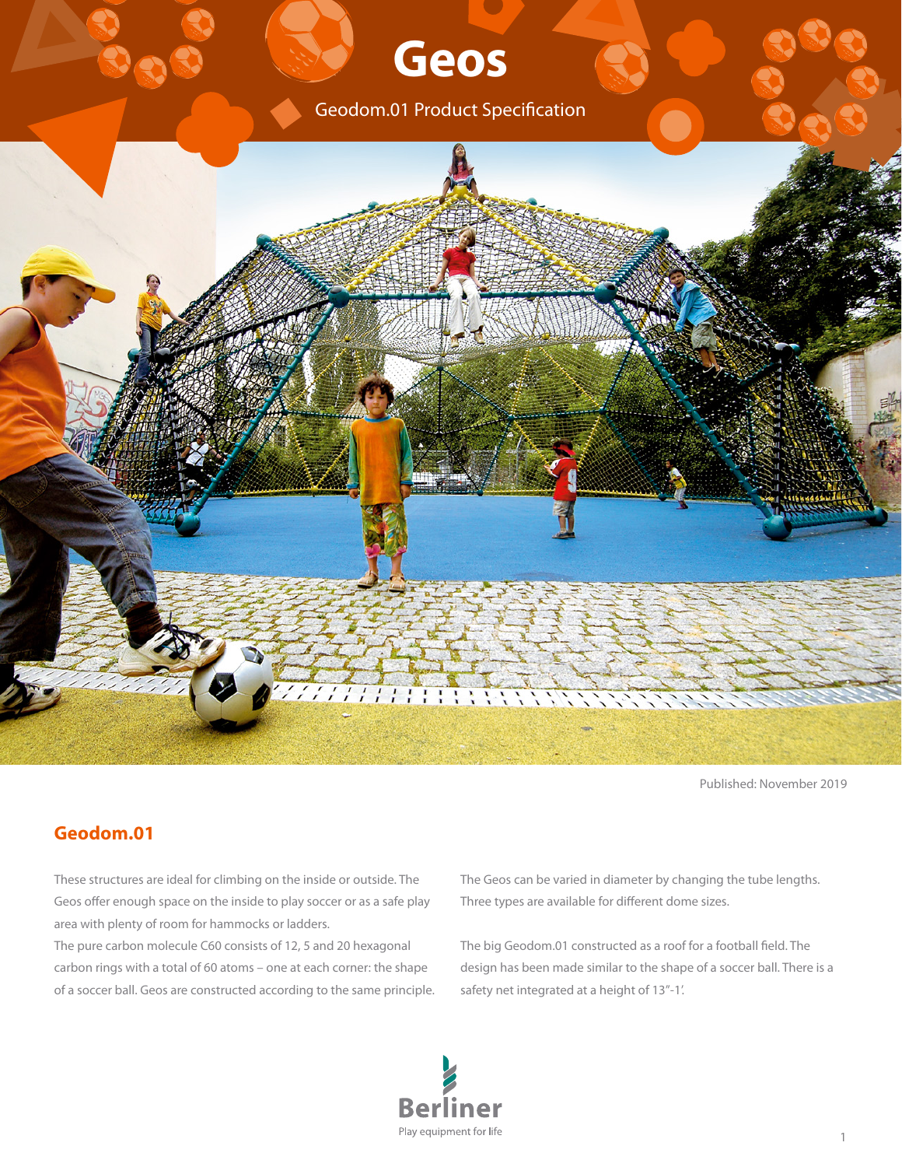# **Geos**

Geodom.01 Product Specification



Published: November 2019

### **Geodom.01**

These structures are ideal for climbing on the inside or outside. The Geos offer enough space on the inside to play soccer or as a safe play area with plenty of room for hammocks or ladders.

The pure carbon molecule C60 consists of 12, 5 and 20 hexagonal carbon rings with a total of 60 atoms – one at each corner: the shape of a soccer ball. Geos are constructed according to the same principle. The Geos can be varied in diameter by changing the tube lengths. Three types are available for different dome sizes.

The big Geodom.01 constructed as a roof for a football field. The design has been made similar to the shape of a soccer ball. There is a safety net integrated at a height of 13''-1'.